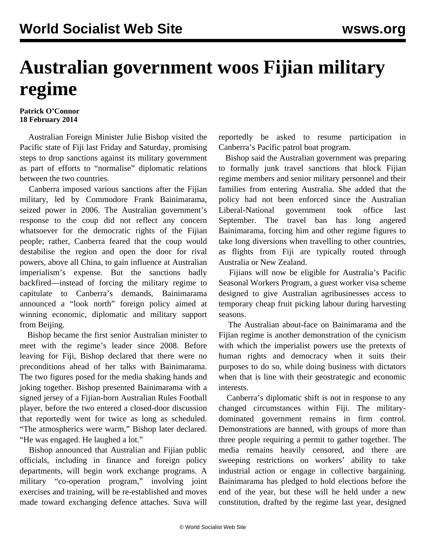## **Australian government woos Fijian military regime**

## **Patrick O'Connor 18 February 2014**

 Australian Foreign Minister Julie Bishop visited the Pacific state of Fiji last Friday and Saturday, promising steps to drop sanctions against its military government as part of efforts to "normalise" diplomatic relations between the two countries.

 Canberra imposed various sanctions after the Fijian military, led by Commodore Frank Bainimarama, seized power in 2006. The Australian government's response to the coup did not reflect any concern whatsoever for the democratic rights of the Fijian people; rather, Canberra feared that the coup would destabilise the region and open the door for rival powers, above all China, to gain influence at Australian imperialism's expense. But the sanctions badly backfired—instead of forcing the military regime to capitulate to Canberra's demands, Bainimarama announced a "look north" foreign policy aimed at winning economic, diplomatic and military support from Beijing.

 Bishop became the first senior Australian minister to meet with the regime's leader since 2008. Before leaving for Fiji, Bishop declared that there were no preconditions ahead of her talks with Bainimarama. The two figures posed for the media shaking hands and joking together. Bishop presented Bainimarama with a signed jersey of a Fijian-born Australian Rules Football player, before the two entered a closed-door discussion that reportedly went for twice as long as scheduled. "The atmospherics were warm," Bishop later declared. "He was engaged. He laughed a lot."

 Bishop announced that Australian and Fijian public officials, including in finance and foreign policy departments, will begin work exchange programs. A military "co-operation program," involving joint exercises and training, will be re-established and moves made toward exchanging defence attaches. Suva will reportedly be asked to resume participation in Canberra's Pacific patrol boat program.

 Bishop said the Australian government was preparing to formally junk travel sanctions that block Fijian regime members and senior military personnel and their families from entering Australia. She added that the policy had not been enforced since the Australian Liberal-National government took office last September. The travel ban has long angered Bainimarama, forcing him and other regime figures to take long diversions when travelling to other countries, as flights from Fiji are typically routed through Australia or New Zealand.

 Fijians will now be eligible for Australia's Pacific Seasonal Workers Program, a guest worker visa scheme designed to give Australian agribusinesses access to temporary cheap fruit picking labour during harvesting seasons.

 The Australian about-face on Bainimarama and the Fijian regime is another demonstration of the cynicism with which the imperialist powers use the pretexts of human rights and democracy when it suits their purposes to do so, while doing business with dictators when that is line with their geostrategic and economic interests.

 Canberra's diplomatic shift is not in response to any changed circumstances within Fiji. The militarydominated government remains in firm control. Demonstrations are banned, with groups of more than three people requiring a permit to gather together. The media remains heavily censored, and there are sweeping restrictions on workers' ability to take industrial action or engage in collective bargaining. Bainimarama has pledged to hold elections before the end of the year, but these will he held under a new constitution, drafted by the regime last year, designed